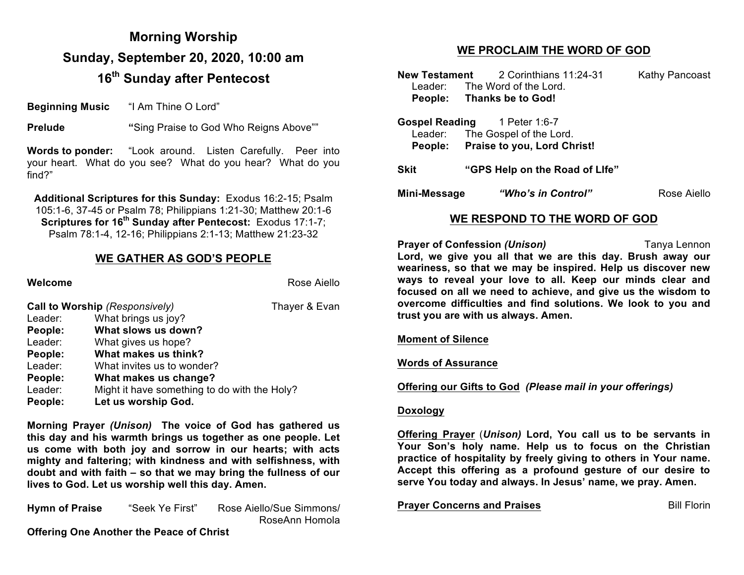# **Morning Worship Sunday, September 20, 2020, 10:00 am 16th Sunday after Pentecost**

**Beginning Music** "I Am Thine O Lord"

**Prelude** "Sing Praise to God Who Reigns Above""

**Words to ponder:** "Look around. Listen Carefully. Peer into your heart. What do you see? What do you hear? What do you find?"

**Additional Scriptures for this Sunday:** Exodus 16:2-15; Psalm 105:1-6, 37-45 or Psalm 78; Philippians 1:21-30; Matthew 20:1-6 **Scriptures for 16th Sunday after Pentecost:** Exodus 17:1-7; Psalm 78:1-4, 12-16; Philippians 2:1-13; Matthew 21:23-32

#### **WE GATHER AS GOD'S PEOPLE**

| Welcome |  |
|---------|--|
|---------|--|

**Welcome** Rose Aiello

| Call to Worship (Responsively) |                                              | Thayer & Evan |
|--------------------------------|----------------------------------------------|---------------|
| Leader:                        | What brings us joy?                          |               |
| People:                        | What slows us down?                          |               |
| Leader:                        | What gives us hope?                          |               |
| People:                        | What makes us think?                         |               |
| Leader:                        | What invites us to wonder?                   |               |
| People:                        | What makes us change?                        |               |
| Leader:                        | Might it have something to do with the Holy? |               |
| People:                        | Let us worship God.                          |               |

**Morning Prayer** *(Unison)* **The voice of God has gathered us this day and his warmth brings us together as one people. Let us come with both joy and sorrow in our hearts; with acts mighty and faltering; with kindness and with selfishness, with doubt and with faith – so that we may bring the fullness of our lives to God. Let us worship well this day. Amen.**

**Hymn of Praise** "Seek Ye First" Rose Aiello/Sue Simmons/ RoseAnn Homola

#### **Offering One Another the Peace of Christ**

# **WE PROCLAIM THE WORD OF GOD**

|              | <b>New Testament</b> 2 Corinthians 11:24-31<br>Leader: The Word of the Lord.<br>People: Thanks be to God! | Kathy Pancoast |
|--------------|-----------------------------------------------------------------------------------------------------------|----------------|
|              | Gospel Reading 1 Peter 1:6-7<br>Leader: The Gospel of the Lord.<br>People: Praise to you, Lord Christ!    |                |
| <b>Skit</b>  | "GPS Help on the Road of Life"                                                                            |                |
| Mini-Message | "Who's in Control"                                                                                        | Rose Aiello    |

### **WE RESPOND TO THE WORD OF GOD**

**Prayer of Confession (Unison)** Tanya Lennon **Lord, we give you all that we are this day. Brush away our weariness, so that we may be inspired. Help us discover new ways to reveal your love to all. Keep our minds clear and focused on all we need to achieve, and give us the wisdom to overcome difficulties and find solutions. We look to you and trust you are with us always. Amen.**

#### **Moment of Silence**

#### **Words of Assurance**

**Offering our Gifts to God** *(Please mail in your offerings)*

#### **Doxology**

**Offering Prayer** (*Unison)* **Lord, You call us to be servants in Your Son's holy name. Help us to focus on the Christian practice of hospitality by freely giving to others in Your name. Accept this offering as a profound gesture of our desire to serve You today and always. In Jesus' name, we pray. Amen.**

**Prayer Concerns and Praises** Bill Florin